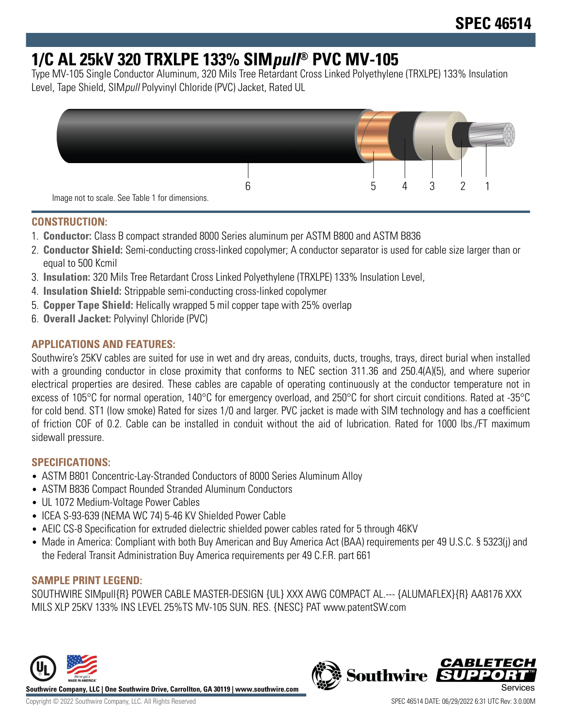# **1/C AL 25kV 320 TRXLPE 133% SIMpull® PVC MV-105**

Type MV-105 Single Conductor Aluminum, 320 Mils Tree Retardant Cross Linked Polyethylene (TRXLPE) 133% Insulation Level, Tape Shield, SIMpull Polyvinyl Chloride (PVC) Jacket, Rated UL



## **CONSTRUCTION:**

- 1. **Conductor:** Class B compact stranded 8000 Series aluminum per ASTM B800 and ASTM B836
- 2. **Conductor Shield:** Semi-conducting cross-linked copolymer; A conductor separator is used for cable size larger than or equal to 500 Kcmil
- 3. **Insulation:** 320 Mils Tree Retardant Cross Linked Polyethylene (TRXLPE) 133% Insulation Level,
- 4. **Insulation Shield:** Strippable semi-conducting cross-linked copolymer
- 5. **Copper Tape Shield:** Helically wrapped 5 mil copper tape with 25% overlap
- 6. **Overall Jacket:** Polyvinyl Chloride (PVC)

## **APPLICATIONS AND FEATURES:**

Southwire's 25KV cables are suited for use in wet and dry areas, conduits, ducts, troughs, trays, direct burial when installed with a grounding conductor in close proximity that conforms to NEC section 311.36 and 250.4(A)(5), and where superior electrical properties are desired. These cables are capable of operating continuously at the conductor temperature not in excess of 105°C for normal operation, 140°C for emergency overload, and 250°C for short circuit conditions. Rated at -35°C for cold bend. ST1 (low smoke) Rated for sizes 1/0 and larger. PVC jacket is made with SIM technology and has a coefficient of friction COF of 0.2. Cable can be installed in conduit without the aid of lubrication. Rated for 1000 lbs./FT maximum sidewall pressure.

## **SPECIFICATIONS:**

- ASTM B801 Concentric-Lay-Stranded Conductors of 8000 Series Aluminum Alloy
- ASTM B836 Compact Rounded Stranded Aluminum Conductors
- UL 1072 Medium-Voltage Power Cables
- ICEA S-93-639 (NEMA WC 74) 5-46 KV Shielded Power Cable
- AEIC CS-8 Specification for extruded dielectric shielded power cables rated for 5 through 46KV
- Made in America: Compliant with both Buy American and Buy America Act (BAA) requirements per 49 U.S.C. § 5323(j) and the Federal Transit Administration Buy America requirements per 49 C.F.R. part 661

## **SAMPLE PRINT LEGEND:**

SOUTHWIRE SIMpull{R} POWER CABLE MASTER-DESIGN {UL} XXX AWG COMPACT AL.--- {ALUMAFLEX}{R} AA8176 XXX MILS XLP 25KV 133% INS LEVEL 25%TS MV-105 SUN. RES. {NESC} PAT www.patentSW.com



**Southwire Company, LLC | One Southwire Drive, Carrollton, GA 30119 | www.southwire.com**